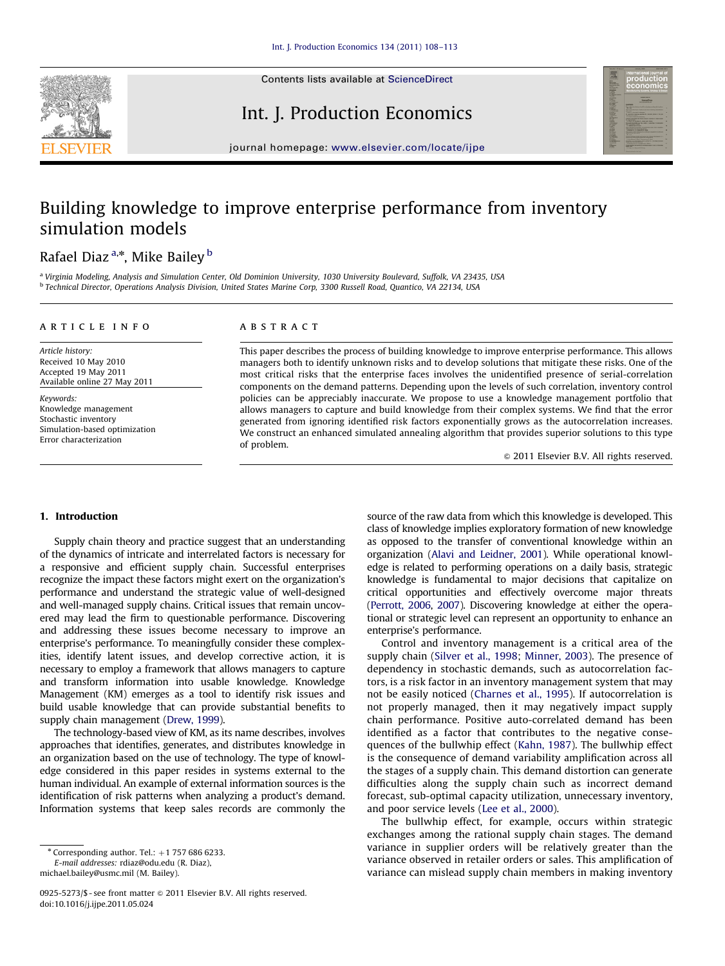

Contents lists available at ScienceDirect

## Int. J. Production Economics



journal homepage: <www.elsevier.com/locate/ijpe>

## Building knowledge to improve enterprise performance from inventory simulation models

## Rafael Diaz <sup>a,</sup>\*, Mike Bailey <sup>b</sup>

<sup>a</sup> Virginia Modeling, Analysis and Simulation Center, Old Dominion University, 1030 University Boulevard, Suffolk, VA 23435, USA <sup>b</sup> Technical Director, Operations Analysis Division, United States Marine Corp, 3300 Russell Road, Quantico, VA 22134, USA

#### article info

Article history: Received 10 May 2010 Accepted 19 May 2011 Available online 27 May 2011

Keywords: Knowledge management Stochastic inventory Simulation-based optimization Error characterization

#### **ABSTRACT**

This paper describes the process of building knowledge to improve enterprise performance. This allows managers both to identify unknown risks and to develop solutions that mitigate these risks. One of the most critical risks that the enterprise faces involves the unidentified presence of serial-correlation components on the demand patterns. Depending upon the levels of such correlation, inventory control policies can be appreciably inaccurate. We propose to use a knowledge management portfolio that allows managers to capture and build knowledge from their complex systems. We find that the error generated from ignoring identified risk factors exponentially grows as the autocorrelation increases. We construct an enhanced simulated annealing algorithm that provides superior solutions to this type of problem.

 $\odot$  2011 Elsevier B.V. All rights reserved.

#### 1. Introduction

Supply chain theory and practice suggest that an understanding of the dynamics of intricate and interrelated factors is necessary for a responsive and efficient supply chain. Successful enterprises recognize the impact these factors might exert on the organization's performance and understand the strategic value of well-designed and well-managed supply chains. Critical issues that remain uncovered may lead the firm to questionable performance. Discovering and addressing these issues become necessary to improve an enterprise's performance. To meaningfully consider these complexities, identify latent issues, and develop corrective action, it is necessary to employ a framework that allows managers to capture and transform information into usable knowledge. Knowledge Management (KM) emerges as a tool to identify risk issues and build usable knowledge that can provide substantial benefits to supply chain management [\(Drew, 1999](#page--1-0)).

The technology-based view of KM, as its name describes, involves approaches that identifies, generates, and distributes knowledge in an organization based on the use of technology. The type of knowledge considered in this paper resides in systems external to the human individual. An example of external information sources is the identification of risk patterns when analyzing a product's demand. Information systems that keep sales records are commonly the

E-mail addresses: [rdiaz@odu.edu \(R. Diaz\)](mailto:rdiaz@odu.edu), [michael.bailey@usmc.mil \(M. Bailey\).](mailto:michael.bailey@usmc.mil)

0925-5273/\$ - see front matter  $\odot$  2011 Elsevier B.V. All rights reserved. doi:[10.1016/j.ijpe.2011.05.024](dx.doi.org/10.1016/j.ijpe.2011.05.024)

source of the raw data from which this knowledge is developed. This class of knowledge implies exploratory formation of new knowledge as opposed to the transfer of conventional knowledge within an organization ([Alavi and Leidner, 2001](#page--1-0)). While operational knowledge is related to performing operations on a daily basis, strategic knowledge is fundamental to major decisions that capitalize on critical opportunities and effectively overcome major threats ([Perrott, 2006,](#page--1-0) [2007\)](#page--1-0). Discovering knowledge at either the operational or strategic level can represent an opportunity to enhance an enterprise's performance.

Control and inventory management is a critical area of the supply chain [\(Silver et al., 1998](#page--1-0); [Minner, 2003](#page--1-0)). The presence of dependency in stochastic demands, such as autocorrelation factors, is a risk factor in an inventory management system that may not be easily noticed ([Charnes et al., 1995\)](#page--1-0). If autocorrelation is not properly managed, then it may negatively impact supply chain performance. Positive auto-correlated demand has been identified as a factor that contributes to the negative consequences of the bullwhip effect ([Kahn, 1987\)](#page--1-0). The bullwhip effect is the consequence of demand variability amplification across all the stages of a supply chain. This demand distortion can generate difficulties along the supply chain such as incorrect demand forecast, sub-optimal capacity utilization, unnecessary inventory, and poor service levels [\(Lee et al., 2000\)](#page--1-0).

The bullwhip effect, for example, occurs within strategic exchanges among the rational supply chain stages. The demand variance in supplier orders will be relatively greater than the variance observed in retailer orders or sales. This amplification of variance can mislead supply chain members in making inventory

 $*$  Corresponding author. Tel.:  $+1$  757 686 6233.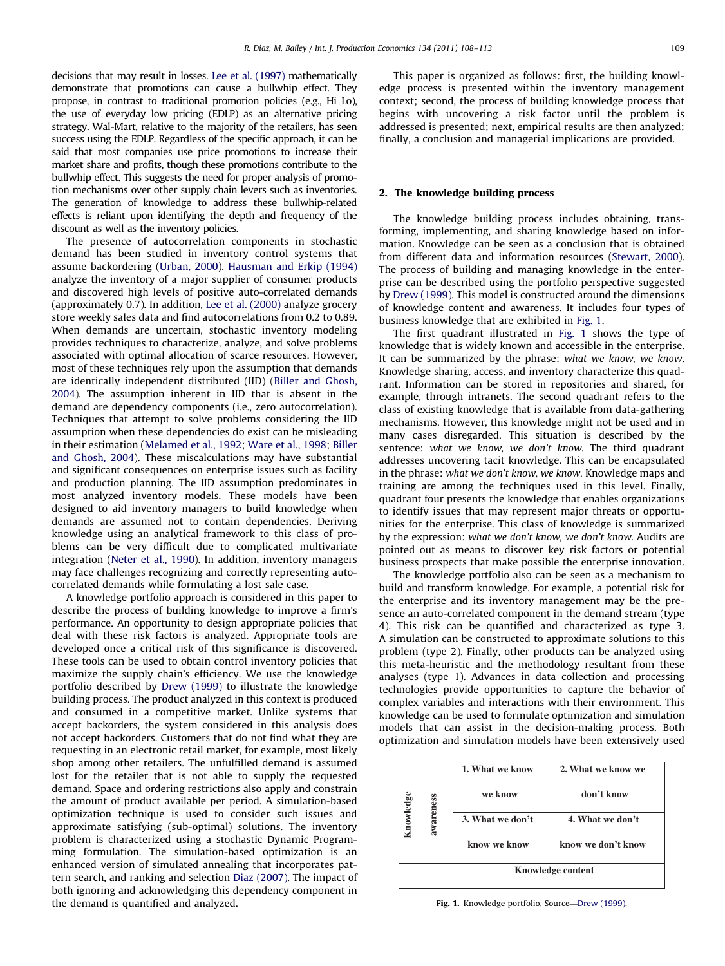decisions that may result in losses. [Lee et al. \(1997\)](#page--1-0) mathematically demonstrate that promotions can cause a bullwhip effect. They propose, in contrast to traditional promotion policies (e.g., Hi Lo), the use of everyday low pricing (EDLP) as an alternative pricing strategy. Wal-Mart, relative to the majority of the retailers, has seen success using the EDLP. Regardless of the specific approach, it can be said that most companies use price promotions to increase their market share and profits, though these promotions contribute to the bullwhip effect. This suggests the need for proper analysis of promotion mechanisms over other supply chain levers such as inventories. The generation of knowledge to address these bullwhip-related effects is reliant upon identifying the depth and frequency of the discount as well as the inventory policies.

The presence of autocorrelation components in stochastic demand has been studied in inventory control systems that assume backordering [\(Urban, 2000](#page--1-0)). [Hausman and Erkip \(1994\)](#page--1-0) analyze the inventory of a major supplier of consumer products and discovered high levels of positive auto-correlated demands (approximately 0.7). In addition, [Lee et al. \(2000\)](#page--1-0) analyze grocery store weekly sales data and find autocorrelations from 0.2 to 0.89. When demands are uncertain, stochastic inventory modeling provides techniques to characterize, analyze, and solve problems associated with optimal allocation of scarce resources. However, most of these techniques rely upon the assumption that demands are identically independent distributed (IID) [\(Biller and Ghosh,](#page--1-0) [2004\)](#page--1-0). The assumption inherent in IID that is absent in the demand are dependency components (i.e., zero autocorrelation). Techniques that attempt to solve problems considering the IID assumption when these dependencies do exist can be misleading in their estimation ([Melamed et al., 1992;](#page--1-0) [Ware et al., 1998](#page--1-0); [Biller](#page--1-0) [and Ghosh, 2004](#page--1-0)). These miscalculations may have substantial and significant consequences on enterprise issues such as facility and production planning. The IID assumption predominates in most analyzed inventory models. These models have been designed to aid inventory managers to build knowledge when demands are assumed not to contain dependencies. Deriving knowledge using an analytical framework to this class of problems can be very difficult due to complicated multivariate integration [\(Neter et al., 1990\)](#page--1-0). In addition, inventory managers may face challenges recognizing and correctly representing autocorrelated demands while formulating a lost sale case.

A knowledge portfolio approach is considered in this paper to describe the process of building knowledge to improve a firm's performance. An opportunity to design appropriate policies that deal with these risk factors is analyzed. Appropriate tools are developed once a critical risk of this significance is discovered. These tools can be used to obtain control inventory policies that maximize the supply chain's efficiency. We use the knowledge portfolio described by [Drew \(1999\)](#page--1-0) to illustrate the knowledge building process. The product analyzed in this context is produced and consumed in a competitive market. Unlike systems that accept backorders, the system considered in this analysis does not accept backorders. Customers that do not find what they are requesting in an electronic retail market, for example, most likely shop among other retailers. The unfulfilled demand is assumed lost for the retailer that is not able to supply the requested demand. Space and ordering restrictions also apply and constrain the amount of product available per period. A simulation-based optimization technique is used to consider such issues and approximate satisfying (sub-optimal) solutions. The inventory problem is characterized using a stochastic Dynamic Programming formulation. The simulation-based optimization is an enhanced version of simulated annealing that incorporates pattern search, and ranking and selection [Diaz \(2007\)](#page--1-0). The impact of both ignoring and acknowledging this dependency component in the demand is quantified and analyzed.

This paper is organized as follows: first, the building knowledge process is presented within the inventory management context; second, the process of building knowledge process that begins with uncovering a risk factor until the problem is addressed is presented; next, empirical results are then analyzed; finally, a conclusion and managerial implications are provided.

#### 2. The knowledge building process

The knowledge building process includes obtaining, transforming, implementing, and sharing knowledge based on information. Knowledge can be seen as a conclusion that is obtained from different data and information resources [\(Stewart, 2000\)](#page--1-0). The process of building and managing knowledge in the enterprise can be described using the portfolio perspective suggested by [Drew \(1999\)](#page--1-0). This model is constructed around the dimensions of knowledge content and awareness. It includes four types of business knowledge that are exhibited in Fig. 1.

The first quadrant illustrated in Fig. 1 shows the type of knowledge that is widely known and accessible in the enterprise. It can be summarized by the phrase: what we know, we know. Knowledge sharing, access, and inventory characterize this quadrant. Information can be stored in repositories and shared, for example, through intranets. The second quadrant refers to the class of existing knowledge that is available from data-gathering mechanisms. However, this knowledge might not be used and in many cases disregarded. This situation is described by the sentence: what we know, we don't know. The third quadrant addresses uncovering tacit knowledge. This can be encapsulated in the phrase: what we don't know, we know. Knowledge maps and training are among the techniques used in this level. Finally, quadrant four presents the knowledge that enables organizations to identify issues that may represent major threats or opportunities for the enterprise. This class of knowledge is summarized by the expression: what we don't know, we don't know. Audits are pointed out as means to discover key risk factors or potential business prospects that make possible the enterprise innovation.

The knowledge portfolio also can be seen as a mechanism to build and transform knowledge. For example, a potential risk for the enterprise and its inventory management may be the presence an auto-correlated component in the demand stream (type 4). This risk can be quantified and characterized as type 3. A simulation can be constructed to approximate solutions to this problem (type 2). Finally, other products can be analyzed using this meta-heuristic and the methodology resultant from these analyses (type 1). Advances in data collection and processing technologies provide opportunities to capture the behavior of complex variables and interactions with their environment. This knowledge can be used to formulate optimization and simulation models that can assist in the decision-making process. Both optimization and simulation models have been extensively used

| nowledge | awareness | 1. What we know   | 2. What we know we |
|----------|-----------|-------------------|--------------------|
|          |           | we know           | don't know         |
|          |           | 3. What we don't  | 4. What we don't   |
|          |           | know we know      | know we don't know |
|          |           | Knowledge content |                    |

Fig. 1. Knowledge portfolio, Source—[Drew \(1999\).](#page--1-0)